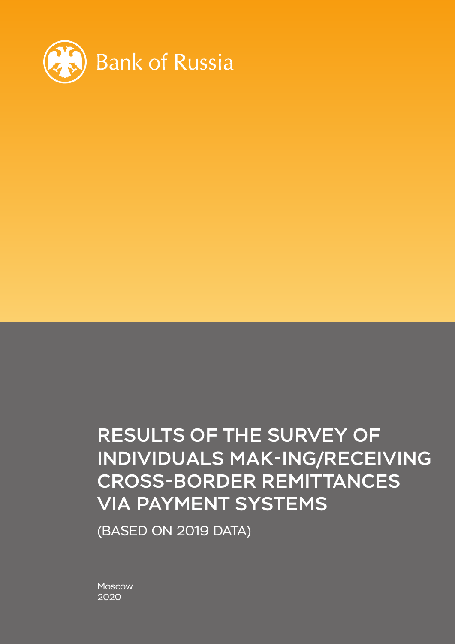

# RESULTS OF THE SURVEY OF INDIVIDUALS MAK-ING/RECEIVING CROSS-BORDER REMITTANCES VIA PAYMENT SYSTEMS

(BASED ON 2019 DATA)

Moscow 2020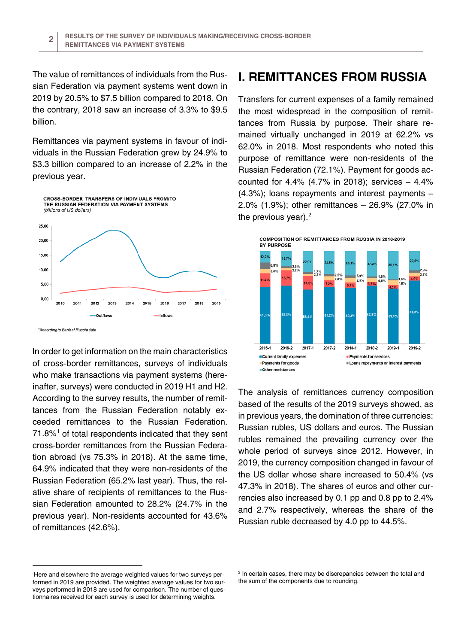The value of remittances of individuals from the Russian Federation via payment systems went down in 2019 by 20.5% to \$7.5 billion compared to 2018. On the contrary, 2018 saw an increase of 3.3% to \$9.5 billion.

Remittances via payment systems in favour of individuals in the Russian Federation grew by 24.9% to \$3.3 billion compared to an increase of 2.2% in the previous year.





In order to get information on the main characteristics of cross-border remittances, surveys of individuals who make transactions via payment systems (hereinafter, surveys) were conducted in 2019 H1 and H2. According to the survey results, the number of remittances from the Russian Federation notably exceeded remittances to the Russian Federation.  $71.8\%$  $71.8\%$  $71.8\%$ <sup>1</sup> of total respondents indicated that they sent cross-border remittances from the Russian Federation abroad (vs 75.3% in 2018). At the same time, 64.9% indicated that they were non-residents of the Russian Federation (65.2% last year). Thus, the relative share of recipients of remittances to the Russian Federation amounted to 28.2% (24.7% in the previous year). Non-residents accounted for 43.6% of remittances (42.6%).

#### **I. REMITTANCES FROM RUSSIA**

Transfers for current expenses of a family remained the most widespread in the composition of remittances from Russia by purpose. Their share remained virtually unchanged in 2019 at 62.2% vs 62.0% in 2018. Most respondents who noted this purpose of remittance were non-residents of the Russian Federation (72.1%). Payment for goods accounted for 4.4% (4.7% in 2018); services – 4.4% (4.3%); loans repayments and interest payments – 2.0% (1.9%); other remittances – 26.9% (27.0% in the previous year). $2$ 



The analysis of remittances currency composition based of the results of the 2019 surveys showed, as in previous years, the domination of three currencies: Russian rubles, US dollars and euros. The Russian rubles remained the prevailing currency over the whole period of surveys since 2012. However, in 2019, the currency composition changed in favour of the US dollar whose share increased to 50.4% (vs 47.3% in 2018). The shares of euros and other currencies also increased by 0.1 pp and 0.8 pp to 2.4% and 2.7% respectively, whereas the share of the Russian ruble decreased by 4.0 pp to 44.5%.

 $\overline{a}$ 

<span id="page-1-0"></span><sup>1</sup> Here and elsewhere the average weighted values for two surveys performed in 2019 are provided. The weighted average values for two surveys performed in 2018 are used for comparison. The number of questionnaires received for each survey is used for determining weights.

 $2$  In certain cases, there may be discrepancies between the total and the sum of the components due to rounding.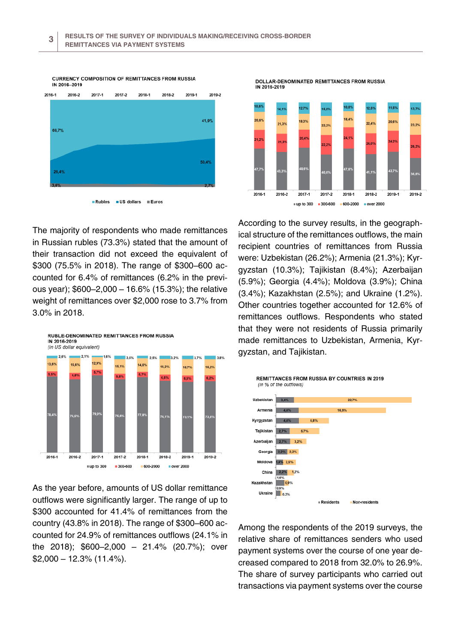2016-1 2016-2  $2017 - 1$ 2017-2 2018-1 2018-2 2019-1 2019-2 41.9% 69.7% 50.4%  $Rubles$ **US dollars Euros** 

CURRENCY COMPOSITION OF REMITTANCES FROM RUSSIA IN 2016-2019





As the year before, amounts of US dollar remittance outflows were significantly larger. The range of up to \$300 accounted for 41.4% of remittances from the country (43.8% in 2018). The range of \$300–600 accounted for 24.9% of remittances outflows (24.1% in the 2018); \$600–2,000 – 21.4% (20.7%); over \$2,000 – 12.3% (11.4%).

**DOLLAR-DENOMINATED REMITTANCES FROM RUSSIA** IN 2016-2019



According to the survey results, in the geographical structure of the remittances outflows, the main recipient countries of remittances from Russia were: Uzbekistan (26.2%); Armenia (21.3%); Kyrgyzstan (10.3%); Tajikistan (8.4%); Azerbaijan (5.9%); Georgia (4.4%); Moldova (3.9%); China (3.4%); Kazakhstan (2.5%); and Ukraine (1.2%). Other countries together accounted for 12.6% of remittances outflows. Respondents who stated that they were not residents of Russia primarily made remittances to Uzbekistan, Armenia, Kyrgyzstan, and Tajikistan.



Among the respondents of the 2019 surveys, the relative share of remittances senders who used payment systems over the course of one year decreased compared to 2018 from 32.0% to 26.9%. The share of survey participants who carried out transactions via payment systems over the course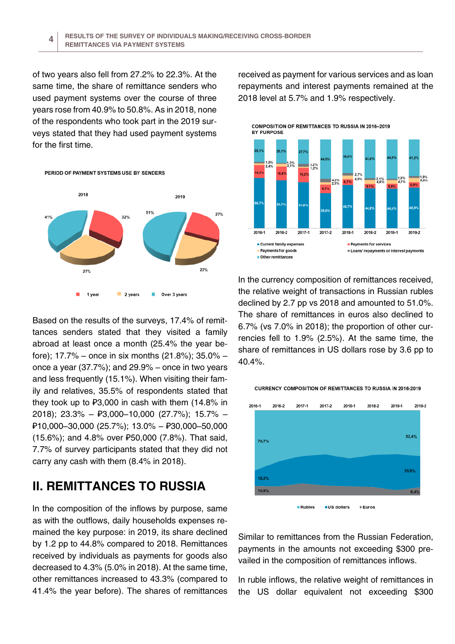of two years also fell from 27.2% to 22.3%. At the same time, the share of remittance senders who used payment systems over the course of three years rose from 40.9% to 50.8%. As in 2018, none of the respondents who took part in the 2019 surveys stated that they had used payment systems for the first time.



Based on the results of the surveys, 17.4% of remittances senders stated that they visited a family abroad at least once a month (25.4% the year before); 17.7% – once in six months (21.8%); 35.0% – once a year (37.7%); and 29.9% – once in two years and less frequently (15.1%). When visiting their family and relatives, 35.5% of respondents stated that they took up to ₽3,000 in cash with them (14.8% in 2018); 23.3% – ₽3,000–10,000 (27.7%); 15.7% – ₽10,000–30,000 (25.7%); 13.0% – ₽30,000–50,000 (15.6%); and 4.8% over ₽50,000 (7.8%). That said, 7.7% of survey participants stated that they did not carry any cash with them (8.4% in 2018).

### **II. REMITTANCES TO RUSSIA**

In the composition of the inflows by purpose, same as with the outflows, daily households expenses remained the key purpose: in 2019, its share declined by 1.2 pp to 44.8% compared to 2018. Remittances received by individuals as payments for goods also decreased to 4.3% (5.0% in 2018). At the same time, other remittances increased to 43.3% (compared to 41.4% the year before). The shares of remittances

received as payment for various services and as loan repayments and interest payments remained at the 2018 level at 5.7% and 1.9% respectively.



In the currency composition of remittances received, the relative weight of transactions in Russian rubles declined by 2.7 pp vs 2018 and amounted to 51.0%. The share of remittances in euros also declined to 6.7% (vs 7.0% in 2018); the proportion of other currencies fell to 1.9% (2.5%). At the same time, the share of remittances in US dollars rose by 3.6 pp to 40.4%.



Similar to remittances from the Russian Federation, payments in the amounts not exceeding \$300 prevailed in the composition of remittances inflows.

In ruble inflows, the relative weight of remittances in the US dollar equivalent not exceeding \$300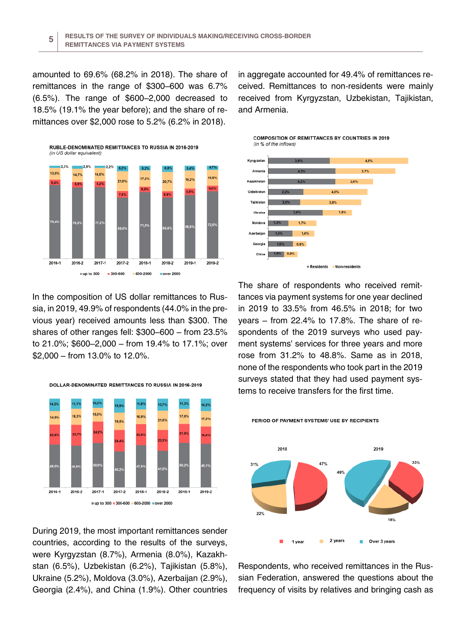amounted to 69.6% (68.2% in 2018). The share of remittances in the range of \$300–600 was 6.7% (6.5%). The range of \$600–2,000 decreased to 18.5% (19.1% the year before); and the share of remittances over \$2,000 rose to 5.2% (6.2% in 2018).



In the composition of US dollar remittances to Russia, in 2019, 49.9% of respondents (44.0% in the previous year) received amounts less than \$300. The shares of other ranges fell: \$300–600 – from 23.5% to 21.0%; \$600–2,000 – from 19.4% to 17.1%; over \$2,000 – from 13.0% to 12.0%.

DOLLAR-DENOMINATED REMITTANCES TO RUSSIA IN 2016-2019



During 2019, the most important remittances sender countries, according to the results of the surveys, were Kyrgyzstan (8.7%), Armenia (8.0%), Kazakhstan (6.5%), Uzbekistan (6.2%), Tajikistan (5.8%), Ukraine (5.2%), Moldova (3.0%), Azerbaijan (2.9%), Georgia (2.4%), and China (1.9%). Other countries

in aggregate accounted for 49.4% of remittances received. Remittances to non-residents were mainly received from Kyrgyzstan, Uzbekistan, Tajikistan, and Armenia.



The share of respondents who received remittances via payment systems for one year declined in 2019 to 33.5% from 46.5% in 2018; for two years – from 22.4% to 17.8%. The share of respondents of the 2019 surveys who used payment systems' services for three years and more rose from 31.2% to 48.8%. Same as in 2018, none of the respondents who took part in the 2019 surveys stated that they had used payment systems to receive transfers for the first time.

PERIOD OF PAYMENT SYSTEMS' USE BY RECIPIENTS



Respondents, who received remittances in the Russian Federation, answered the questions about the frequency of visits by relatives and bringing cash as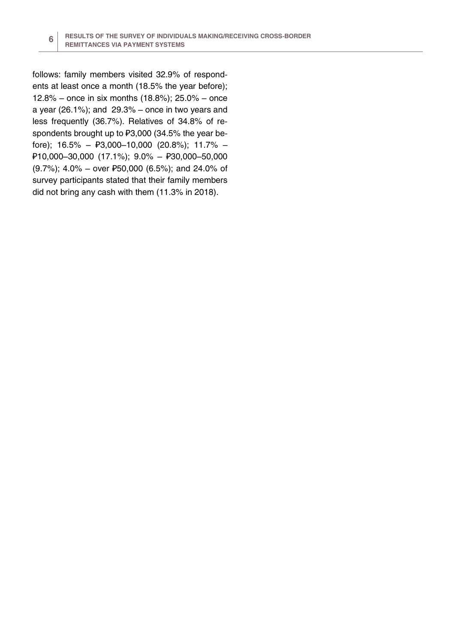follows: family members visited 32.9% of respondents at least once a month (18.5% the year before); 12.8% – once in six months (18.8%); 25.0% – once a year (26.1%); and  $29.3%$  – once in two years and less frequently (36.7%). Relatives of 34.8% of respondents brought up to ₽3,000 (34.5% the year before); 16.5% – ₽3,000–10,000 (20.8%); 11.7% – ₽10,000–30,000 (17.1%); 9.0% – ₽30,000–50,000 (9.7%); 4.0% – over ₽50,000 (6.5%); and 24.0% of survey participants stated that their family members did not bring any cash with them (11.3% in 2018).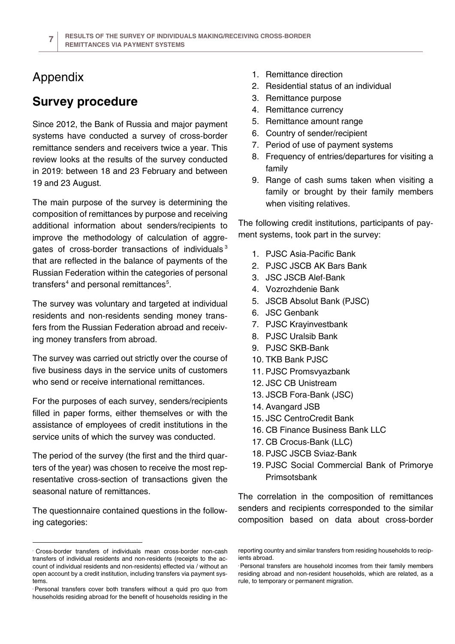## Appendix

## **Survey procedure**

Since 2012, the Bank of Russia and major payment systems have conducted a survey of cross-border remittance senders and receivers twice a year. This review looks at the results of the survey conducted in 2019: between 18 and 23 February and between 19 and 23 August.

The main purpose of the survey is determining the composition of remittances by purpose and receiving additional information about senders/recipients to improve the methodology of calculation of aggre-gates of cross-border transactions of individuals<sup>[3](#page-6-0)</sup> that are reflected in the balance of payments of the Russian Federation within the categories of personal transfers<sup>[4](#page-6-1)</sup> and personal remittances<sup>[5](#page-6-2)</sup>.

The survey was voluntary and targeted at individual residents and non-residents sending money transfers from the Russian Federation abroad and receiving money transfers from abroad.

The survey was carried out strictly over the course of five business days in the service units of customers who send or receive international remittances.

For the purposes of each survey, senders/recipients filled in paper forms, either themselves or with the assistance of employees of credit institutions in the service units of which the survey was conducted.

The period of the survey (the first and the third quarters of the year) was chosen to receive the most representative cross-section of transactions given the seasonal nature of remittances.

The questionnaire contained questions in the following categories:

 $\overline{a}$ 

- 1. Remittance direction
- 2. Residential status of an individual
- 3. Remittance purpose
- 4. Remittance currency
- 5. Remittance amount range
- 6. Country of sender/recipient
- 7. Period of use of payment systems
- 8. Frequency of entries/departures for visiting a family
- 9. Range of cash sums taken when visiting a family or brought by their family members when visiting relatives.

The following credit institutions, participants of payment systems, took part in the survey:

- 1. PJSC Asia-Pacific Bank
- 2. PJSC JSCB AK Bars Bank
- 3. JSC JSCB Alef-Bank
- 4. Vozrozhdenie Bank
- 5. JSCB Absolut Bank (PJSC)
- 6. JSC Genbank
- 7. PJSC Krayinvestbank
- 8. PJSC Uralsib Bank
- 9. PJSC SKB-Bank
- 10. TKB Bank PJSC
- 11. PJSC Promsvyazbank
- 12. JSC CB Unistream
- 13. JSCB Fora-Bank (JSC)
- 14. Avangard JSB
- 15. JSC CentroCredit Bank
- 16. CB Finance Business Bank LLC
- 17. CB Crocus-Bank (LLC)
- 18. PJSC JSCB Sviaz-Bank
- 19. PJSC Social Commercial Bank of Primorye Primsotsbank

The correlation in the composition of remittances senders and recipients corresponded to the similar composition based on data about cross-border

<span id="page-6-2"></span><span id="page-6-0"></span><sup>3</sup> Cross-border transfers of individuals mean cross-border non-cash transfers of individual residents and non-residents (receipts to the account of individual residents and non-residents) effected via / without an open account by a credit institution, including transfers via payment systems.

<span id="page-6-1"></span><sup>4</sup> Personal transfers cover both transfers without a quid pro quo from households residing abroad for the benefit of households residing in the

reporting country and similar transfers from residing households to recipients abroad.

<sup>5</sup> Personal transfers are household incomes from their family members residing abroad and non-resident households, which are related, as a rule, to temporary or permanent migration.